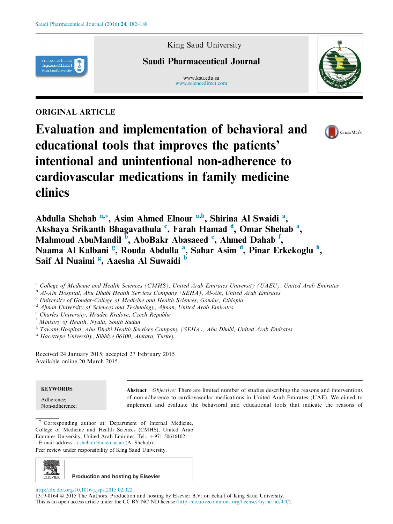

## ORIGINAL ARTICLE

King Saud University

# Saudi Pharmaceutical Journal

www.ksu.edu.sa [www.sciencedirect.com](http://www.sciencedirect.com/science/journal/13190164)





Evaluation and implementation of behavioral and educational tools that improves the patients' intentional and unintentional non-adherence to cardiovascular medications in family medicine clinics

Abdulla Shehab <sup>a,\*</sup>, Asim Ahmed Elnour <sup>a,b</sup>, Shirina Al Swaidi <sup>a</sup>, Akshaya Srikanth Bhagavathula <sup>c</sup>, Farah Hamad <sup>d</sup>, Omar Shehab <sup>a</sup>, Mahmoud AbuMandil <sup>b</sup>, AboBakr Abasaeed <sup>e</sup>, Ahmed Dahab <sup>f</sup>, Naama Al Kalbani <sup>g</sup>, Rouda Abdulla <sup>a</sup>, Sahar Asim <sup>d</sup>, Pinar Erkekoglu <sup>h</sup>, Saif Al Nuaimi <sup>g</sup>, Aaesha Al Suwaidi <sup>b</sup>

<sup>a</sup> College of Medicine and Health Sciences (CMHS), United Arab Emirates University (UAEU), United Arab Emirates

<sup>b</sup> Al-Ain Hospital, Abu Dhabi Health Services Company (SEHA), Al-Ain, United Arab Emirates

<sup>c</sup> University of Gondar-College of Medicine and Health Sciences, Gondar, Ethiopia

 $d$  Ajman University of Sciences and Technology, Ajman, United Arab Emirates

<sup>e</sup> Charles University, Hradec Kralove, Czech Republic

<sup>f</sup> Ministry of Health, Nyala, South Sudan

 $g<sup>g</sup> Tawan Hospital, Abu Dhabi Health Services Company (SEHA), Abu Dhabi, United Arab Emirates$ 

<sup>h</sup> Hacettepe University, Sihhiye 06100, Ankara, Turkey

Received 24 January 2015; accepted 27 February 2015 Available online 20 March 2015

## **KEYWORDS**

Adherence; Non-adherence; Abstract Objective: There are limited number of studies describing the reasons and interventions of non-adherence to cardiovascular medications in United Arab Emirates (UAE). We aimed to implement and evaluate the behavioral and educational tools that indicate the reasons of

Corresponding author at: Department of Internal Medicine, College of Medicine and Health Sciences (CMHS), United Arab Emirates University, United Arab Emirates. Tel.: +971 50616102. E-mail address: [a.shehab@uaeu.ac.ae](mailto:a.shehab@uaeu.ac.ae) (A. Shehab).

Peer review under responsibility of King Saud University.



<http://dx.doi.org/10.1016/j.jsps.2015.02.022>

1319-0164 ª 2015 The Authors. Production and hosting by Elsevier B.V. on behalf of King Saud University. This is an open access article under the CC BY-NC-ND license [\(http://creativecommons.org/licenses/by-nc-nd/4.0/\)](http://creativecommons.org/licenses/by-nc-nd/4.0/).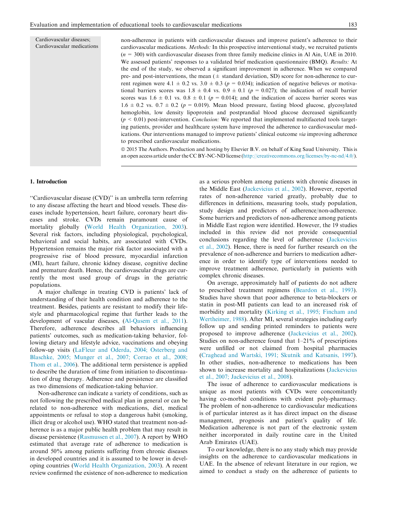Cardiovascular diseases; Cardiovascular medications non-adherence in patients with cardiovascular diseases and improve patient's adherence to their cardiovascular medications. Methods: In this prospective interventional study, we recruited patients  $(n = 300)$  with cardiovascular diseases from three family medicine clinics in Al Ain, UAE in 2010. We assessed patients' responses to a validated brief medication questionnaire (BMQ). Results: At the end of the study, we observed a significant improvement in adherence. When we compared pre- and post-interventions, the mean  $(\pm$  standard deviation, SD) score for non-adherence to current regimen were 4.1  $\pm$  0.2 vs. 3.0  $\pm$  0.3 (p = 0.034); indication of negative believes or motivational barriers scores was  $1.8 \pm 0.4$  vs.  $0.9 \pm 0.1$  ( $p = 0.027$ ); the indication of recall barrier scores was 1.6  $\pm$  0.1 vs. 0.8  $\pm$  0.1 (p = 0.014); and the indication of access barrier scores was  $1.6 \pm 0.2$  vs.  $0.7 \pm 0.2$  ( $p = 0.019$ ). Mean blood pressure, fasting blood glucose, glycosylated hemoglobin, low density lipoprotein and postprandial blood glucose decreased significantly  $(p < 0.01)$  post-intervention. *Conclusion:* We reported that implemented multifaceted tools targeting patients, provider and healthcare system have improved the adherence to cardiovascular medications. Our interventions managed to improve patients' clinical outcome via improving adherence to prescribed cardiovascular medications.

ª 2015 The Authors. Production and hosting by Elsevier B.V. on behalf of King Saud University. This is an open access article under the CC BY-NC-ND license ([http://creativecommons.org/licenses/by-nc-nd/4.0/\)](http://creativecommons.org/licenses/by-nc-nd/4.0/).

## 1. Introduction

''Cardiovascular disease (CVD)'' is an umbrella term referring to any disease affecting the heart and blood vessels. These diseases include hypertension, heart failure, coronary heart diseases and stroke. CVDs remain paramount cause of mortality globally ([World Health Organization, 2003](#page-6-0)). Several risk factors, including physiological, psychological, behavioral and social habits, are associated with CVDs. Hypertension remains the major risk factor associated with a progressive rise of blood pressure, myocardial infarction (MI), heart failure, chronic kidney disease, cognitive decline and premature death. Hence, the cardiovascular drugs are currently the most used group of drugs in the geriatric populations.

A major challenge in treating CVD is patients' lack of understanding of their health condition and adherence to the treatment. Besides, patients are resistant to modify their lifestyle and pharmacological regime that further leads to the development of vascular diseases, [\(Al-Qasem et al., 2011](#page-5-0)). Therefore, adherence describes all behaviors influencing patients' outcomes, such as medication-taking behavior, following dietary and lifestyle advice, vaccinations and obeying follow-up visits [\(LaFleur and Oderda, 2004; Osterberg and](#page-6-0) [Blaschke, 2005; Munger et al., 2007; Corrao et al., 2008;](#page-6-0) [Thom et al., 2006](#page-6-0)). The additional term persistence is applied to describe the duration of time from initiation to discontinuation of drug therapy. Adherence and persistence are classified as two dimensions of medication-taking behavior.

Non-adherence can indicate a variety of conditions, such as not following the prescribed medical plan in general or can be related to non-adherence with medications, diet, medical appointments or refusal to stop a dangerous habit (smoking, illicit drug or alcohol use). WHO stated that treatment non-adherence is as a major public health problem that may result in disease persistence ([Rasmussen et al., 2007\)](#page-6-0). A report by WHO estimated that average rate of adherence to medication is around 50% among patients suffering from chronic diseases in developed countries and it is assumed to be lower in developing countries [\(World Health Organization, 2003\)](#page-6-0). A recent review confirmed the existence of non-adherence to medication as a serious problem among patients with chronic diseases in the Middle East [\(Jackevicius et al., 2002](#page-6-0)). However, reported rates of non-adherence varied greatly, probably due to differences in definitions, measuring tools, study population, study design and predictors of adherence/non-adherence. Some barriers and predictors of non-adherence among patients in Middle East region were identified. However, the 19 studies included in this review did not provide consequential conclusions regarding the level of adherence ([Jackevicius](#page-6-0) [et al., 2002\)](#page-6-0). Hence, there is need for further research on the prevalence of non-adherence and barriers to medication adherence in order to identify type of interventions needed to improve treatment adherence, particularly in patients with complex chronic diseases.

On average, approximately half of patients do not adhere to prescribed treatment regimens [\(Beardon et al., 1993](#page-5-0)). Studies have shown that poor adherence to beta-blockers or statin in post-MI patients can lead to an increased risk of morbidity and mortality ([Kirking et al., 1995; Fincham and](#page-6-0) [Wertheimer, 1988](#page-6-0)). After MI, several strategies including early follow up and sending printed reminders to patients were proposed to improve adherence [\(Jackevicius et al., 2002](#page-6-0)). Studies on non-adherence found that 1–21% of prescriptions were unfilled or not claimed from hospital pharmacies [\(Craghead and Wartski, 1991; Skutnik and Katsanis, 1997](#page-6-0)). In other studies, non-adherence to medications has been shown to increase mortality and hospitalizations ([Jackevicius](#page-6-0) [et al., 2007; Jackevicius et al., 2008\)](#page-6-0).

The issue of adherence to cardiovascular medications is unique as most patients with CVDs were concomitantly having co-morbid conditions with evident poly-pharmacy. The problem of non-adherence to cardiovascular medications is of particular interest as it has direct impact on the disease management, prognosis and patient's quality of life. Medication adherence is not part of the electronic system neither incorporated in daily routine care in the United Arab Emirates (UAE).

To our knowledge, there is no any study which may provide insights on the adherence to cardiovascular medications in UAE. In the absence of relevant literature in our region, we aimed to conduct a study on the adherence of patients to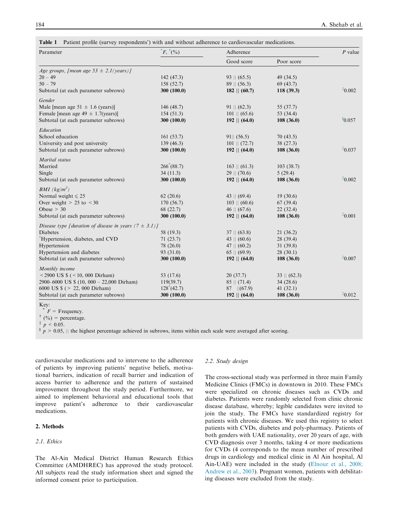<span id="page-2-0"></span>

|  |  |  |  | Table 1 Patient profile (survey respondents') with and without adherence to cardiovascular medications. |
|--|--|--|--|---------------------------------------------------------------------------------------------------------|
|--|--|--|--|---------------------------------------------------------------------------------------------------------|

| Parameter                                                  | $E, \dot{}^{\dagger}$ (%) | Adherence              |                  |             |
|------------------------------------------------------------|---------------------------|------------------------|------------------|-------------|
|                                                            |                           | Good score             | Poor score       |             |
| Age groups, [mean age $53 \pm 2.1$ (years)]                |                           |                        |                  |             |
| $20 - 49$                                                  | 142(47.3)                 | $93 \parallel (65.5)$  | 49(34.5)         |             |
| $50 - 79$                                                  | 158(52.7)                 | $89 \parallel (56.3)$  | 69 (43.7)        |             |
| Subtotal (at each parameter subrows)                       | 300(100.0)                | $182$    $(60.7)$      | 118(39.3)        | $*0.002$    |
| Gender                                                     |                           |                        |                  |             |
| Male [mean age $51 \pm 1.6$ (years)]                       | 146(48.7)                 | $91 \parallel (62.3)$  | 55 (37.7)        |             |
| Female [mean age $49 \pm 1.7$ (years)]                     | 154(51.3)                 | $101 \parallel (65.6)$ | 53 (34.4)        |             |
| Subtotal (at each parameter subrows)                       | 300(100.0)                | $192$    $(64.0)$      | 108(36.0)        | \$0.057     |
| Education                                                  |                           |                        |                  |             |
| School education                                           | 161(53.7)                 | $91$    $(56.5)$       | 70(43.5)         |             |
| University and post university                             | 139(46.3)                 | $101$    $(72.7)$      | 38(27.3)         |             |
| Subtotal (at each parameter subrows)                       | 300(100.0)                | $192$    $(64.0)$      | 108(36.0)        | $*_{0.037}$ |
| Marital status                                             |                           |                        |                  |             |
| Married                                                    | 266(88.7)                 | $163 \parallel (61.3)$ | 103(38.7)        |             |
| Single                                                     | 34(11.3)                  | $29$    $(70.6)$       | 5(29.4)          |             |
| Subtotal (at each parameter subrows)                       | 300(100.0)                | $192$    $(64.0)$      | 108(36.0)        | $*0.002$    |
| BMI (kg/m <sup>2</sup> )                                   |                           |                        |                  |             |
| Normal weight $\le 25$                                     | 62(20.6)                  | $43 \parallel (69.4)$  | 19(30.6)         |             |
| Over weight $> 25$ to $< 30$                               | 170(56.7)                 | $103$    $(60.6)$      | 67(39.4)         |             |
| Obese $> 30$                                               | 68 (22.7)                 | $46 \parallel (67.6)$  | 22(32.4)         |             |
| Subtotal (at each parameter subrows)                       | 300 (100.0)               | $192$    $(64.0)$      | 108(36.0)        | $*0.001$    |
| Disease type [duration of disease in years $(7 \pm 3.1)$ ] |                           |                        |                  |             |
| Diabetes                                                   | 58 (19.3)                 | $37 \parallel (63.8)$  | 21(36.2)         |             |
| <sup>†</sup> Hypertension, diabetes, and CVD               | 71(23.7)                  | 43    $(60.6)$         | 28 (39.4)        |             |
| Hypertension                                               | 78 (26.0)                 | 47    $(60.2)$         | 31(39.8)         |             |
| Hypertension and diabetes                                  | 93 (31.0)                 | $65 \parallel (69.9)$  | 28(30.1)         |             |
| Subtotal (at each parameter subrows)                       | 300(100.0)                | $192$    $(64.0)$      | 108(36.0)        | $*_{0.007}$ |
| Monthly income                                             |                           |                        |                  |             |
| $<$ 2900 US \$ ( $<$ 10, 000 Dirham)                       | 53 (17.6)                 | 20(37.7)               | $33$    $(62.3)$ |             |
| 2900–6000 US $\frac{1}{2}$ (10, 000 – 22,000 Dirham)       | 119(39.7)                 | $85 \parallel (71.4)$  | 34(28.6)         |             |
| 6000 US $\frac{1}{2}$ (> 22, 000 Dirham)                   | 128(42.7)                 | $87$   (67.9)          | 41(32.1)         |             |
| Subtotal (at each parameter subrows)                       | 300(100.0)                | $192$   $(64.0)$       | 108(36.0)        | $*0.012$    |

 $*$   $F =$  Frequency.

 $^{\dagger}$  (%) = percentage.

 $p > 0.05$ , || the highest percentage achieved in subrows, items within each scale were averaged after scoring.

cardiovascular medications and to intervene to the adherence of patients by improving patients' negative beliefs, motivational barriers, indication of recall barrier and indication of access barrier to adherence and the pattern of sustained improvement throughout the study period. Furthermore, we aimed to implement behavioral and educational tools that improve patient's adherence to their cardiovascular medications.

## 2. Methods

## 2.1. Ethics

The Al-Ain Medical District Human Research Ethics Committee (AMDHREC) has approved the study protocol. All subjects read the study information sheet and signed the informed consent prior to participation.

#### 2.2. Study design

The cross-sectional study was performed in three main Family Medicine Clinics (FMCs) in downtown in 2010. These FMCs were specialized on chronic diseases such as CVDs and diabetes. Patients were randomly selected from clinic chronic disease database, whereby; legible candidates were invited to join the study. The FMCs have standardized registry for patients with chronic diseases. We used this registry to select patients with CVDs, diabetes and poly-pharmacy. Patients of both genders with UAE nationality, over 20 years of age, with CVD diagnosis over 3 months, taking 4 or more medications for CVDs (4 corresponds to the mean number of prescribed drugs in cardiology and medical clinic in Al Ain hospital, Al Ain-UAE) were included in the study ([Elnour et al., 2008;](#page-6-0) [Andrew et al., 2003\)](#page-6-0). Pregnant women, patients with debilitating diseases were excluded from the study.

 $p < 0.05$ .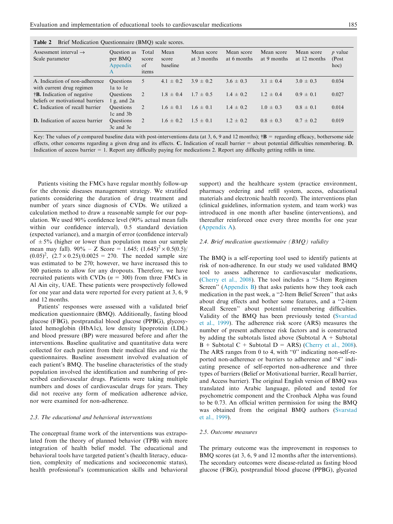<span id="page-3-0"></span>

| Table 2 |  |  | Brief Medication Questionnaire (BMQ) scale scores. |  |  |
|---------|--|--|----------------------------------------------------|--|--|
|---------|--|--|----------------------------------------------------|--|--|

| Assessment interval $\rightarrow$<br>Scale parameter | Question as<br>per BMQ<br>Appendix<br>A | Total<br>score<br>of<br>items | Mean<br>score<br>baseline | Mean score<br>at 3 months | Mean score<br>at 6 months | Mean score<br>at 9 months | Mean score<br>at 12 months | $p$ value<br>(Post<br>hoc) |
|------------------------------------------------------|-----------------------------------------|-------------------------------|---------------------------|---------------------------|---------------------------|---------------------------|----------------------------|----------------------------|
| A. Indication of non-adherence                       | <b>Questions</b>                        | 5                             | $4.1 \pm 0.2$             | $3.9 \pm 0.2$             | $3.6 \pm 0.3$             | $3.1 \pm 0.4$             | $3.0 \pm 0.3$              | 0.034                      |
| with current drug regimen                            | la to le                                |                               |                           |                           |                           |                           |                            |                            |
| <b>B.</b> Indication of negative                     | <b>Questions</b>                        | 2                             | $1.8 \pm 0.4$             | $1.7 \pm 0.5$             | $1.4 \pm 0.2$             | $1.2 \pm 0.4$             | $0.9 \pm 0.1$              | 0.027                      |
| beliefs or motivational barriers                     | g, and 2a                               |                               |                           |                           |                           |                           |                            |                            |
| C. Indication of recall barrier                      | <b>Questions</b>                        | 2                             | $1.6 \pm 0.1$             | $1.6 \pm 0.1$             | $1.4 \pm 0.2$             | $1.0 \pm 0.3$             | $0.8 \pm 0.1$              | 0.014                      |
|                                                      | 1c and 3b                               |                               |                           |                           |                           |                           |                            |                            |
| <b>D.</b> Indication of access barrier               | <b>Questions</b>                        | 2                             | $1.6 \pm 0.2$             | $1.5 \pm 0.1$             | $1.2 \pm 0.2$             | $0.8 \pm 0.3$             | $0.7 \pm 0.2$              | 0.019                      |
|                                                      | 3c and 3e                               |                               |                           |                           |                           |                           |                            |                            |

Key: The values of p compared baseline data with post-interventions data (at 3, 6, 9 and 12 months);  $\dagger \mathbf{B}$  = regarding efficacy, bothersome side effects, other concerns regarding a given drug and its effects. C. Indication of recall barrier  $=$  about potential difficulties remembering.  $D$ . Indication of access barrier = 1. Report any difficulty paying for medications 2. Report any difficulty getting refills in time.

Patients visiting the FMCs have regular monthly follow-up for the chronic diseases management strategy. We stratified patients considering the duration of drug treatment and number of years since diagnosis of CVDs. We utilized a calculation method to draw a reasonable sample for our population. We used 90% confidence level (90% actual mean falls within our confidence interval), 0.5 standard deviation (expected variance), and a margin of error (confidence interval) of  $\pm 5\%$  (higher or lower than population mean our sample mean may fall).  $90\% - Z$  Score = 1.645;  $(1.645)^2 \times 0.5(0.5)$  $(0.05)^2$ ,  $(2.7 \times 0.25)/0.0025 = 270$ . The needed sample size was estimated to be 270; however, we have increased this to 300 patients to allow for any dropouts. Therefore, we have recruited patients with CVDs  $(n = 300)$  from three FMCs in Al Ain city, UAE. These patients were prospectively followed for one year and data were reported for every patient at 3, 6, 9 and 12 months.

Patients' responses were assessed with a validated brief medication questionnaire (BMQ). Additionally, fasting blood glucose (FBG), postprandial blood glucose (PPBG), glycosylated hemoglobin (HbA1c), low density lipoprotein (LDL) and blood pressure (BP) were measured before and after the interventions. Baseline qualitative and quantitative data were collected for each patient from their medical files and via the questionnaires. Baseline assessment involved evaluation of each patient's BMQ. The baseline characteristics of the study population involved the identification and numbering of prescribed cardiovascular drugs. Patients were taking multiple numbers and doses of cardiovascular drugs for years. They did not receive any form of medication adherence advice, nor were examined for non-adherence.

#### 2.3. The educational and behavioral interventions

The conceptual frame work of the interventions was extrapolated from the theory of planned behavior (TPB) with more integration of health belief model. The educational and behavioral tools have targeted patient's (health literacy, education, complexity of medications and socioeconomic status), health professional's (communication skills and behavioral support) and the healthcare system (practice environment, pharmacy ordering and refill system, access, educational materials and electronic health record). The interventions plan (clinical guidelines, information system, and team work) was introduced in one month after baseline (interventions), and thereafter reinforced once every three months for one year [\(Appendix A\)](#page-5-0).

#### 2.4. Brief medication questionnaire  $(BMQ)$  validity

The BMQ is a self-reporting tool used to identify patients at risk of non-adherence. In our study we used validated BMQ tool to assess adherence to cardiovascular medications, [\(Cherry et al., 2008](#page-6-0)). The tool includes a ''5-Item Regimen Screen'' ([Appendix B\)](#page-5-0) that asks patients how they took each medication in the past week, a ''2-Item Belief Screen'' that asks about drug effects and bother some features, and a ''2-item Recall Screen'' about potential remembering difficulties. Validity of the BMQ has been previously tested [\(Svarstad](#page-6-0) [et al., 1999](#page-6-0)). The adherence risk score (ARS) measures the number of present adherence risk factors and is constructed by adding the subtotals listed above (Subtotal  $A +$  Subtotal  $B +$  Subtotal C + Subtotal D = ARS) ([Cherry et al., 2008](#page-6-0)). The ARS ranges from 0 to 4, with ''0'' indicating non-self-reported non-adherence or barriers to adherence and ''4'' indicating presence of self-reported non-adherence and three types of barriers (Belief or Motivational barrier, Recall barrier, and Access barrier). The original English version of BMQ was translated into Arabic language, piloted and tested for psychometric component and the Cronback Alpha was found to be 0.73. An official written permission for using the BMQ was obtained from the original BMQ authors [\(Svarstad](#page-6-0) [et al., 1999\)](#page-6-0).

#### 2.5. Outcome measures

The primary outcome was the improvement in responses to BMQ scores (at 3, 6, 9 and 12 months after the interventions). The secondary outcomes were disease-related as fasting blood glucose (FBG), postprandial blood glucose (PPBG), glycated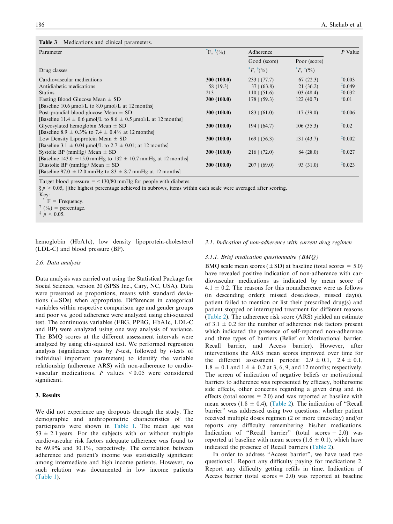#### <span id="page-4-0"></span>Table 3 Medications and clinical parameters.

| Parameter                                                             | $E, \dot{}^{\dagger} (%)$ | Adherence                   | $P$ Value             |          |
|-----------------------------------------------------------------------|---------------------------|-----------------------------|-----------------------|----------|
|                                                                       |                           | Good (score)                | Poor (score)          |          |
| Drug classes                                                          |                           | $E, \dot{}^{\dagger} ( \%)$ | $E, \,^{\dagger}$ (%) |          |
| Cardiovascular medications                                            | 300 (100.0)               | $233$    $(77.7)$           | 67(22.3)              | $*0.003$ |
| Antidiabetic medications                                              | 58 (19.3)                 | 37   (63.8)                 | 21(36.2)              | $*0.049$ |
| <b>Statins</b>                                                        | 213                       | 110   (51.6)                | 103(48.4)             | $*0.032$ |
| Fasting Blood Glucose Mean $\pm$ SD                                   | 300 (100.0)               | $178$    $(59.3)$           | 122(40.7)             | $*0.01$  |
| [Baseline 10.6 $\mu$ mol/L to 8.0 $\mu$ mol/L at 12 months]           |                           |                             |                       |          |
| Post-prandial blood glucose Mean $\pm$ SD                             | 300 (100.0)               | $183$    $(61.0)$           | 117(39.0)             | $*0.006$ |
| [Baseline 11.4 $\pm$ 0.6 µmol/L to 8.6 $\pm$ 0.5 µmol/L at 12 months] |                           |                             |                       |          |
| Glycosylated hemoglobin Mean $\pm$ SD                                 | 300 (100.0)               | $194$    $(64.7)$           | 106(35.3)             | $*0.02$  |
| [Baseline 8.9 $\pm$ 0.3% to 7.4 $\pm$ 0.4% at 12 months]              |                           |                             |                       |          |
| Low Density Lipoprotein Mean $\pm$ SD                                 | 300 (100.0)               | $169$    $(56.3)$           | 131(43.7)             | $*0.002$ |
| [Baseline 3.1 $\pm$ 0.04 µmol/L to 2.7 $\pm$ 0.01; at 12 months]      |                           |                             |                       |          |
| Systolic BP (mmHg) Mean $\pm$ SD                                      | 300 (100.0)               | 216   (72.0)                | 84 (28.0)             | $*0.027$ |
| [Baseline 143.0 $\pm$ 15.0 mmHg to 132 $\pm$ 10.7 mmHg at 12 months]  |                           |                             |                       |          |
| Diastolic BP (mmHg) Mean $\pm$ SD                                     | 300 (100.0)               | 207   (69.0)                | 93 (31.0)             | $*0.023$ |
| [Baseline 97.0 $\pm$ 12.0 mmHg to 83 $\pm$ 8.7 mmHg at 12 months]     |                           |                             |                       |          |

Target blood pressure  $=$  <130/80 mmHg for people with diabetes.

 $\S p > 0.05$ , ||the highest percentage achieved in subrows, items within each scale were averaged after scoring.

Key:

 $F = F$  Frequency.

 $^{\dagger}$  (%) = percentage.

 $p < 0.05$ .

hemoglobin (HbA1c), low density lipoprotein-cholesterol (LDL-C) and blood pressure (BP).

#### 2.6. Data analysis

Data analysis was carried out using the Statistical Package for Social Sciences, version 20 (SPSS Inc., Cary, NC, USA). Data were presented as proportions, means with standard deviations  $(\pm SDs)$  when appropriate. Differences in categorical variables within respective comparison age and gender groups and poor vs. good adherence were analyzed using chi-squared test. The continuous variables (FBG, PPBG, HbA1c, LDL-C and BP) were analyzed using one way analysis of variance. The BMQ scores at the different assessment intervals were analyzed by using chi-squared test. We performed regression analysis (significance was by  $F$ -test, followed by  $t$ -tests of individual important parameters) to identify the variable relationship (adherence ARS) with non-adherence to cardiovascular medications. P values  $\leq 0.05$  were considered significant.

## 3. Results

We did not experience any dropouts through the study. The demographic and anthropometric characteristics of the participants were shown in [Table 1](#page-2-0). The mean age was  $53 \pm 2.1$  years. For the subjects with or without multiple cardiovascular risk factors adequate adherence was found to be 69.9% and 30.1%, respectively. The correlation between adherence and patient's income was statistically significant among intermediate and high income patients. However, no such relation was documented in low income patients ([Table 1](#page-2-0)).

#### 3.1. Indication of non-adherence with current drug regimen

#### 3.1.1. Brief medication questionnaire (BMQ)

BMQ scale mean scores  $(\pm SD)$  at baseline (total scores = 5.0) have revealed positive indication of non-adherence with cardiovascular medications as indicated by mean score of  $4.1 \pm 0.2$ . The reasons for this nonadherence were as follows (in descending order): missed dose/doses, missed day(s), patient failed to mention or list their prescribed drug(s) and patient stopped or interrupted treatment for different reasons ([Table 2\)](#page-3-0). The adherence risk score (ARS) yielded an estimate of  $3.1 \pm 0.2$  for the number of adherence risk factors present which indicated the presence of self-reported non-adherence and three types of barriers (Belief or Motivational barrier, Recall barrier, and Access barrier). However, after interventions the ARS mean scores improved over time for the different assessment periods:  $2.9 \pm 0.1$ ,  $2.4 \pm 0.1$ ,  $1.8 \pm 0.1$  and  $1.4 \pm 0.2$  at 3, 6, 9, and 12 months; respectively. The screen of indication of negative beliefs or motivational barriers to adherence was represented by efficacy, bothersome side effects, other concerns regarding a given drug and its effects (total scores  $= 2.0$ ) and was reported at baseline with mean scores (1.8  $\pm$  0.4), ([Table 2](#page-3-0)). The indication of "Recall barrier'' was addressed using two questions: whether patient received multiple doses regimen (2 or more times/day) and/or reports any difficulty remembering his/her medications. Indication of "Recall barrier" (total scores  $= 2.0$ ) was reported at baseline with mean scores (1.6  $\pm$  0.1), which have indicated the presence of Recall barriers ([Table 2\)](#page-3-0).

In order to address ''Access barrier'', we have used two questions:1. Report any difficulty paying for medications 2. Report any difficulty getting refills in time. Indication of Access barrier (total scores  $= 2.0$ ) was reported at baseline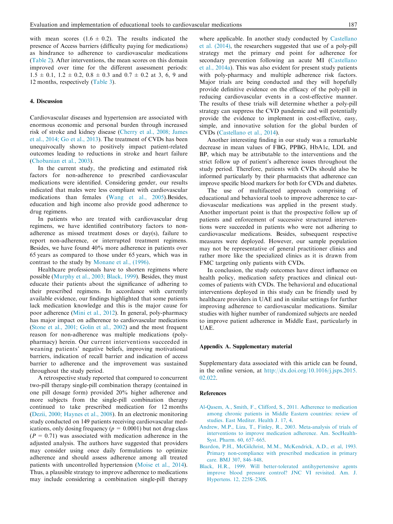<span id="page-5-0"></span>with mean scores  $(1.6 \pm 0.2)$ . The results indicated the presence of Access barriers (difficulty paying for medications) as hindrance to adherence to cardiovascular medications [\(Table 2](#page-3-0)). After interventions, the mean scores on this domain improved over time for the different assessment periods:  $1.5 \pm 0.1$ ,  $1.2 \pm 0.2$ ,  $0.8 \pm 0.3$  and  $0.7 \pm 0.2$  at 3, 6, 9 and 12 months, respectively ([Table 3](#page-4-0)).

#### 4. Discussion

Cardiovascular diseases and hypertension are associated with enormous economic and personal burden through increased risk of stroke and kidney disease ([Cherry et al., 2008; James](#page-6-0) [et al., 2014; Go et al., 2013](#page-6-0)). The treatment of CVDs has been unequivocally shown to positively impact patient-related outcomes leading to reductions in stroke and heart failure [\(Chobanian et al., 2003\)](#page-6-0).

In the current study, the predicting and estimated risk factors for non-adherence to prescribed cardiovascular medications were identified. Considering gender, our results indicated that males were less compliant with cardiovascular medications than females ([Wang et al., 2005](#page-6-0)).Besides, education and high income also provide good adherence to drug regimens.

In patients who are treated with cardiovascular drug regimens, we have identified contributory factors to nonadherence as missed treatment doses or day(s), failure to report non-adherence, or interrupted treatment regimens. Besides, we have found 40% more adherence in patients over 65 years as compared to those under 65 years, which was in contrast to the study by [Monane et al., \(1996\)](#page-6-0).

Healthcare professionals have to shorten regimens where possible [\(Murphy et al., 2003; Black, 1999](#page-6-0)). Besides, they must educate their patients about the significance of adhering to their prescribed regimens. In accordance with currently available evidence, our findings highlighted that some patients lack medication knowledge and this is the major cause for poor adherence ([Mini et al., 2012](#page-6-0)). In general, poly-pharmacy has major impact on adherence to cardiovascular medications [\(Stone et al., 2001; Golin et al., 2002\)](#page-6-0) and the most frequent reason for non-adherence was multiple medications (polypharmacy) herein. Our current interventions succeeded in weaning patients' negative beliefs, improving motivational barriers, indication of recall barrier and indication of access barrier to adherence and the improvement was sustained throughout the study period.

A retrospective study reported that compared to concurrent two-pill therapy single-pill combination therapy (contained in one pill dosage form) provided 20% higher adherence and more subjects from the single-pill combination therapy continued to take prescribed medication for 12 months [\(Dezii, 2000; Haynes et al., 2008](#page-6-0)). In an electronic monitoring study conducted on 149 patients receiving cardiovascular medications, only dosing frequency ( $p = 0.0001$ ) but not drug class  $(P = 0.71)$  was associated with medication adherence in the adjusted analysis. The authors have suggested that providers may consider using once daily formulations to optimize adherence and should assess adherence among all treated patients with uncontrolled hypertension ([Moise et al., 2014](#page-6-0)). Thus, a plausible strategy to improve adherence to medications may include considering a combination single-pill therapy where applicable. In another study conducted by [Castellano](#page-6-0) [et al. \(2014\)](#page-6-0), the researchers suggested that use of a poly-pill strategy met the primary end point for adherence for secondary prevention following an acute MI ([Castellano](#page-6-0) [et al., 2014a](#page-6-0)). This was also evident for present study patients with poly-pharmacy and multiple adherence risk factors. Major trials are being conducted and they will hopefully provide definitive evidence on the efficacy of the poly-pill in reducing cardiovascular events in a cost-effective manner. The results of these trials will determine whether a poly-pill strategy can suppress the CVD pandemic and will potentially provide the evidence to implement in cost-effective, easy, simple, and innovative solution for the global burden of CVDs [\(Castellano et al., 2014](#page-6-0)).

Another interesting finding in our study was a remarkable decrease in mean values of FBG, PPBG, HbA1c, LDL and BP, which may be attributable to the interventions and the strict follow up of patient's adherence issues throughout the study period. Therefore, patients with CVDs should also be informed particularly by their pharmacists that adherence can improve specific blood markers for both for CVDs and diabetes.

The use of multifaceted approach comprising of educational and behavioral tools to improve adherence to cardiovascular medications was applied in the present study. Another important point is that the prospective follow up of patients and enforcement of successive structured interventions were succeeded in patients who were not adhering to cardiovascular medications. Besides, subsequent respective measures were deployed. However, our sample population may not be representative of general practitioner clinics and rather more like the specialized clinics as it is drawn from FMC targeting only patients with CVDs.

In conclusion, the study outcomes have direct influence on health policy, medication safety practices and clinical outcomes of patients with CVDs. The behavioral and educational interventions deployed in this study can be friendly used by healthcare providers in UAE and in similar settings for further improving adherence to cardiovascular medications. Similar studies with higher number of randomized subjects are needed to improve patient adherence in Middle East, particularly in UAE.

#### Appendix A. Supplementary material

Supplementary data associated with this article can be found, in the online version, at [http://dx.doi.org/10.1016/j.jsps.2015.](http://dx.doi.org/10.1016/j.jsps.2015.02.022) [02.022](http://dx.doi.org/10.1016/j.jsps.2015.02.022).

#### References

- [Al-Qasem, A., Smith, F., Clifford, S., 2011. Adherence to medication](http://refhub.elsevier.com/S1319-0164(15)00060-2/h0010) [among chronic patients in Middle Eastern countries: review of](http://refhub.elsevier.com/S1319-0164(15)00060-2/h0010) [studies. East Mediter. Health J. 17, 4](http://refhub.elsevier.com/S1319-0164(15)00060-2/h0010).
- [Andrew, M.P., Liza, T., Finley, R., 2003. Meta-analysis of trials of](http://refhub.elsevier.com/S1319-0164(15)00060-2/h0090) [interventions to improve medication adherence. Am. SocHealth-](http://refhub.elsevier.com/S1319-0164(15)00060-2/h0090)[Syst. Pharm. 60, 657–665.](http://refhub.elsevier.com/S1319-0164(15)00060-2/h0090)
- [Beardon, P.H., McGilchrist, M.M., McKendrick, A.D., et al, 1993.](http://refhub.elsevier.com/S1319-0164(15)00060-2/h0050) [Primary non-compliance with prescribed medication in primary](http://refhub.elsevier.com/S1319-0164(15)00060-2/h0050) [care. BMJ 307, 846–848.](http://refhub.elsevier.com/S1319-0164(15)00060-2/h0050)
- [Black, H.R., 1999. Will better-tolerated antihypertensive agents](http://refhub.elsevier.com/S1319-0164(15)00060-2/h0135) [improve blood pressure control? JNC VI revisited. Am. J.](http://refhub.elsevier.com/S1319-0164(15)00060-2/h0135) [Hypertens. 12, 225S–230S](http://refhub.elsevier.com/S1319-0164(15)00060-2/h0135).